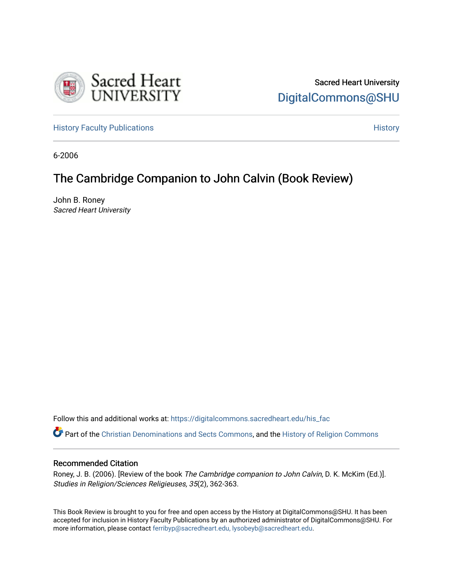

Sacred Heart University [DigitalCommons@SHU](https://digitalcommons.sacredheart.edu/) 

[History Faculty Publications](https://digitalcommons.sacredheart.edu/his_fac) **History** History

6-2006

# The Cambridge Companion to John Calvin (Book Review)

John B. Roney Sacred Heart University

Follow this and additional works at: [https://digitalcommons.sacredheart.edu/his\\_fac](https://digitalcommons.sacredheart.edu/his_fac?utm_source=digitalcommons.sacredheart.edu%2Fhis_fac%2F101&utm_medium=PDF&utm_campaign=PDFCoverPages)

Part of the [Christian Denominations and Sects Commons,](http://network.bepress.com/hgg/discipline/1184?utm_source=digitalcommons.sacredheart.edu%2Fhis_fac%2F101&utm_medium=PDF&utm_campaign=PDFCoverPages) and the [History of Religion Commons](http://network.bepress.com/hgg/discipline/499?utm_source=digitalcommons.sacredheart.edu%2Fhis_fac%2F101&utm_medium=PDF&utm_campaign=PDFCoverPages) 

# Recommended Citation

Roney, J. B. (2006). [Review of the book The Cambridge companion to John Calvin, D. K. McKim (Ed.)]. Studies in Religion/Sciences Religieuses, 35(2), 362-363.

This Book Review is brought to you for free and open access by the History at DigitalCommons@SHU. It has been accepted for inclusion in History Faculty Publications by an authorized administrator of DigitalCommons@SHU. For more information, please contact [ferribyp@sacredheart.edu, lysobeyb@sacredheart.edu](mailto:ferribyp@sacredheart.edu,%20lysobeyb@sacredheart.edu).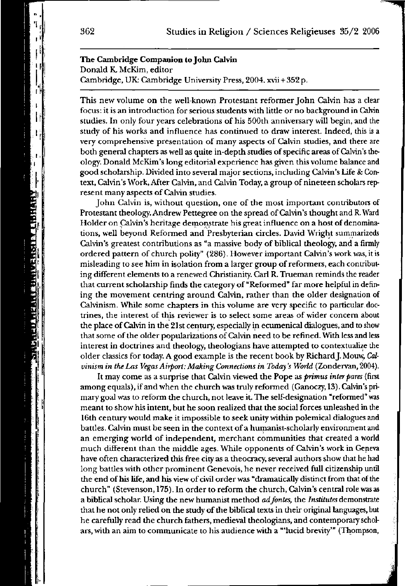# The Cambridge Companion to John Calvin

Donald R. McKim, editor Cambridge, UK: Cambridge University Press, 2004. xvii + 352 p.

This new volume on the well-known Protestant reformer John Calvin has a clear focus: it is an introduction for serious students with Iitde or no background in Calvin studies. In only four years celebrations of his 500th anniversary will begin, and the study of his works and influence has continued to draw interest. Indeed, this is a very comprehensive presentation of many aspects of Calvin studies, and there are both general chapters as well as quite in-depth studies of specific areas of Calvin's theology. Donald McKim's long editorial experience has given this volume balance and good scholarship. Divided into several major sections, including Calvin's Life & Context, Calvin's Work, After Calvin, and Calvin Today, a group of nineteen scholars represent many aspects of Calvin studies.

John Calvin is, without question, one of the most important contributors of Protestant theology. Andrew Pettegree on the spread of Calvin's thought and R. Ward Holder on Calvin's heritage demonstrate his great influence on a host of denominations, well beyond Reformed and Presbyterian circles. David Wright summarizeds Calvin's greatest contributions as "a massive body of biblical theology, and a firmly ordered pattern of church polity" (286). However important Calvin's work was, it is misleading to see him in isolation from a larger group of reformers, each contributing different elements to a renewed Christianity. Carl R. Trueman reminds the reader that current scholarship finds the category of "Reformed" far more helpful in defining the movement centring around Calvin, rather than the older designation of Calvinism. While some chapters in this volume are very specific to particular doctrines, the interest of this reviewer is to select some areas of wider concern about the place of Calvin in the 21st century, especially in ecumenical dialogues, and to show that some of the older popularizations of Calvin need to be refined. With less and less interest in doctrines and theology, theologians have attempted to contextualize die older classics for today. A good example is the recent book by Richard J. Mouw, *Calvinism in the Las Vegas Airport: Making Connections in Today's World* (Zondervan,2004).

It may come as a surprise that Calvin viewed the Pope as *primus inter pares* (first among equals), if and when the church was truly reformed (Ganoczy, 13). Calvin's primary goal was to reform the church, not leave it The self-designation "reformed" was meant to show his intent, but he soon realized that the social forces unleashed in the 16th century would make it impossible to seek unity within polemical dialogues and battles. Calvin must be seen in the context of a humanist-scholarly environment and an emerging world of independent, merchant communities that created a world much different than the middle ages. While opponents of Calvin's work in Geneva have often characterized this free city as a theocracy, several authors show that he had long batties with other prominent Genevois, he never received full citizenship until the end of his life, and his view of civil order was "dramatically distinct from that of the church" (Stevenson, 175). In order to reform the church, Calvin's central role was as a biblical scholar. Using the new humanist method *adfontes,* the *Institutes* demonstrate that he not only relied on the study of the biblical texts in their original languages, but he carefully read the church fathers, medieval theologians, and contemporary scholars, with an aim to communicate to his audience with a "'lucid brevity"' (Thompson,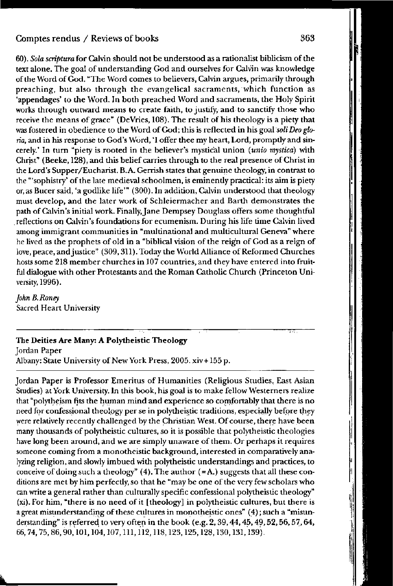#### Comptes rendus / Reviews of books 363

60). Sola scriptura for Calvin should not be understood as a rationalist biblicism of the text alone. The goal of understanding God and ourselves for Calvin was knowledge of the Word of God. "The Word comes to believers, Calvin argues, primarily through preaching, but also through the evangelical sacraments, which function as 'appendages' to the Word. In both preached Word and sacraments, the Holy Spirit works through outward means to create faith, to justify, and to sanctify those who receive the means of grace" (DeVries, 108). The result of his theology is a piety that was fostered in obedience to the Word of God; this is reflected in his goal *soli Deo gloria,* and in his response to God's Word, 'I offer thee my heart, Lord, prompdy and sincerely.' In turn "piety is rooted in the believer's mystical union *{unto mysttca)* with Christ" (Beeke, 128), and this belief carries through to the real presence of Christ in the Lord's Supper/Eucharist. B.A. Gerrish states that genuine theology, in contrast to the "'sophistry' of the late medieval schoolmen, is eminendy practical: its aim is piety or, as Bucer said, 'a godlike life'" (300). In addition, Calvin understood that theology must develop, and the later work of Schleiermacher and Barth demonstrates the path of Calvin's initial work. Finally, Jane Dempsey Douglass offers some thoughtful reflections on Calvin's foundations for ecumenism. During his life time Calvin lived among immigrant communities in "multinational and multicultural Geneva" where he lived as the prophets of old in a "biblical vision of the reign of God as a reign of love, peace, and justice" (309, 311). Today the World Alliance of Reformed Churches hosts some 218 member churches in 107 countries, and they have entered into fruitful dialogue with other Protestants and the Roman Catholic Church (Princeton University, 1996).

*John B.Roney*  Sacred Heart University

#### **The Deities Are Many: A Polytheistic Theology**

Jordan Paper Albany: State University of New York Press, 2005. xiv+155p.

Jordan Paper is Professor Emeritus of Humanities (Religious Studies, East Asian Studies) at York University. In this book, his goal is to make fellow Westerners realize that "polytheism fits the human mind and experience so comfortably that there is no need for confessional theology per se in polytheistic traditions, especially before they were relatively recently challenged by the Christian West. Of course, there have been many thousands of polytheistic cultures, so it is possible that polytheistic theologies have long been around, and we are simply unaware of them. Or perhaps it requires someone coming from a monotheistic background, interested in comparatively analyzing religion, and slowly imbued with polytheistic understandings and practices, to conceive of doing such a theology" (4). The author  $(=A)$  suggests that all these conditions are met by him perfecdy, so that he "may be one of the very few scholars who can write a general rather than culturally specific confessional polytheistic theology" (xi). For him, "there is no need of it [theology] in polytheistic cultures, but there is a great misunderstanding of these cultures in monotheistic ones" (4); such a "misunderstanding" is referred to very often in the book (e.g. 2,39,44,45,49,52,56,57,64, 66,74,75,86,90,101,104,107, 111, 112,118,123,125,128,130,131,139).

स्ट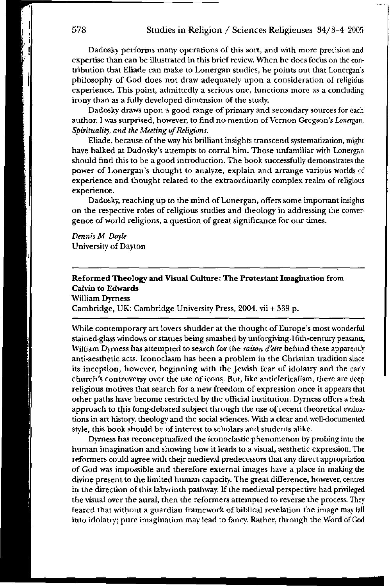Dadosky performs many operations of this sort, and with more precision and expertise than can be illustrated in this brief review. When he does focus on the contribution that Eliade can make to Lonergan studies, he points out that Lonergan's philosophy of God does not draw adequately upon a consideration of religious experience. This point, admittedly a serious one, functions more as a concluding irony than as a fully developed dimension of the study.

Dadosky draws upon a good range of primary and secondary sources for each author. I was surprised, however, to find no mention of Vernon Gregson's *Lonergan, Spirituality, and the Meeting of Religions.* 

Eliade, because of the way his brilliant insights transcend systematization, might have balked at Dadosky's attempts to corral him. Those unfamiliar with Lonergan should find this to be a good introduction. The book successfully demonstrates the power of Lonergan's thought to analyze, explain and arrange various worlds of experience and thought related to the extraordinarily complex realm of religious experience.

Dadosky, reaching up to the mind of Lonergan, offers some important insights on the respective roles of religious studies and theology in addressing the convergence of world religions, a question of great significance for our times.

*Dennis M. Doyle*  University of Dayton

#### **Reformed Theology and Visual Culture: The Protestant Imagination from Calvin to Edwards**  William Dymess Cambridge, UK: Cambridge University Press, 2004. vii + 339 p.

While contemporary art lovers shudder at the thought of Europe's most wonderful stained-glass windows or statues being smashed by unforgiving-16th-century peasants, William Dyrness has attempted to search for the *raison d'etre* behind these apparendy anti-aesthetic acts. Iconoclasm has been a problem in the Christian tradition since its inception, however, beginning with the Jewish fear of idolatry and the early church's controversy over the use of icons. But, like anticlericalism, there are deep religious motives that search for a new freedom of expression once it appears that other paths have become restricted by the official institution. Dyrness offers a fresh approach to this long-debated subject through the use of recent theoretical evaluations in art history, theology and the social sciences. With a clear and well-documented style, this book should be of interest to scholars and students alike.

Dyrness has reconceptualized the iconoclastic phenomenon by probing into the human imagination and showing how it leads to a visual, aesthetic expression. The reformers could agree with their medieval predecessors that any direct appropriation of God was impossible and therefore external images have a place in making die divine present to the limited human capacity. The great difference, however, centres in the direction of this labyrinth pathway. If the medieval perspective had privileged the visual over the aural, then the reformers attempted to reverse the process. They feared that without a guardian framework of biblical revelation the image may fall into idolatry; pure imagination may lead to fancy. Rather, through the Word of God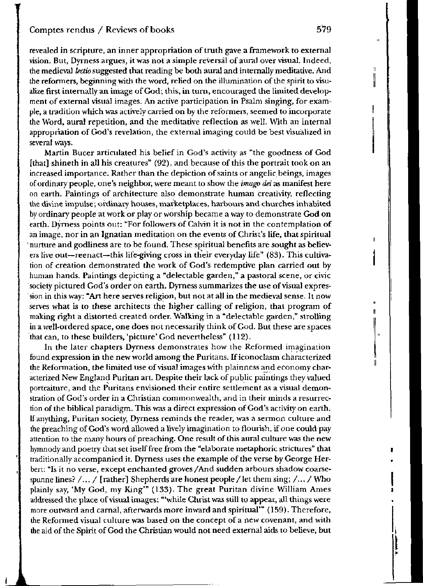## Comptes rendus / Reviews of books 579

revealed in scripture, an inner appropriation of truth gave a framework to external vision. But, Dyrness argues, it was not a simple reversal of aural over visual. Indeed, the medieval *lectio* suggested that reading be both aural and internally meditative. And the reformers, beginning with the word, relied on the illumination of the spirit to visualize first internally an image of God; this, in turn, encouraged the limited development of external visual images. An active participation in Psalm singing, for example, a tradition which was actively carried on by the reformers, seemed to incorporate the Word, aural repetition, and the meditative reflection as well. With an internal appropriation of God's revelation, the external imaging could be best visualized in several ways.

Martin Bucer articulated his belief in God's activity as "the goodness of God [that] shineth in all his creatures" (92), and because of this the portrait took on an increased importance. Rather than the depiction of saints or angelic beings, images of ordinary people, one's neighbor, were meant to show the *imago dei* as manifest here on earth. Paintings of architecture also demonstrate human creativity, reflecting the divine impulse; ordinary houses, marketplaces, harbours and churches inhabited by ordinary people at work or play or worship became a way to demonstrate God on earth. Dyrness points out: "For followers of Calvin it is not in the contemplation of an image, nor in an Ignatian meditation on the events of Christ's life, that spiritual 'nurture and godliness are to be found. These spiritual benefits are sought as believers live out—reenact—this life-giving cross in their everyday life" (83). This cultivation of creation demonstrated the work of God's redemptive plan carried out by human hands. Paintings depicting a "delectable garden," a pastoral scene, or civic society pictured God's order on earth. Dyrness summarizes the use of visual expression in this way: "Art here serves religion, but not at all in the medieval sense. It now serves what is to these architects the higher calling of religion, that program of making right a distorted created order. Walking in a "delectable garden," strolling in a well-ordered space, one does not necessarily think of God. But these are spaces that can, to these builders,'picture'God nevertheless" (112).

In the later chapters Dyrness demonstrates how the Reformed imagination found expression in the new world among the Puritans. If iconoclasm characterized the Reformation, the limited use of visual images with plainness and economy characterized New England Puritan art. Despite their lack of public paintings they valued portraiture, and the Puritans envisioned their entire settlement as a visual demonstration of God's order in a Christian commonwealth, and in their minds a resurrection of the biblical paradigm. This was a direct expression of God's activity on earth. If anything, Puritan society, Dyrness reminds the reader, was a sermon culture and the preaching of God's word allowed a lively imagination to flourish, if one could pay attention to the many hours of preaching. One result of this aural culture was the new hymnody and poetry that set itself free from the "elaborate metaphoric strictures" that traditionally accompanied it. Dyrness uses the example of the verse by George Herbert: "Is it no verse, except enchanted groves /And sudden arbours shadow coarsespunne lines? /... / [rather] Shepherds are honest people / let them sing; /... / Who plainly say, 'My God, my King'" (133). The great Puritan divine William Ames addressed the place of visual images: "'while Christ was still to appear, all things were more outward and carnal, afterwards more inward and spiritual<sup>1</sup>" (159). Therefore, the Reformed visual culture was based on the concept of a new covenant, and with the aid of the Spirit of God the Christian would not need external aids to believe, but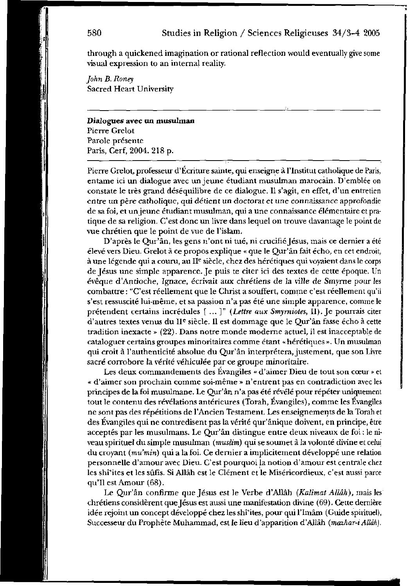through a quickened imagination or rational reflection would eventually give some visual expression to an internal reality.

*fohn B. Roney*  Sacred Heart University

**Dialogues avec un musulman**  Pierre Grelot Parole présente Paris, Cerf, 2004. 218 p.

Pierre Grelot, professeur d'Ecriture sainte, qui enseigne a l'lnstitut catholique de Paris, entame ici un dialogue avec un jeune étudiant musulman marocain. D'emblée on constate le très grand déséquilibre de ce dialogue. Il s'agit, en effet, d'un entretien entre un père catholique, qui détient un doctorat et une connaissance approfondie de sa foi, et un jeune étudiant musulman, qui a une connaissance élémentaire et pratique de sa religion. C'est done un livre dans lequel on trouve davantage le point de vue chretien que le point de vue de l'islam.

D'apres le Qur'an, les gens n'ont ni tue, ni crucifie Jesus, mais ce dernier a ete eleve vers Dieu. Grelot a ce propos explique « que le Qur'an fait echo, en cet endroit, à une légende qui a couru, au II<sup>e</sup> siècle, chez des hérétiques qui voyaient dans le corps <sub>.</sub> de Jésus une simple apparence. Je puis te citer ici des textes de cette époque. Un évêque d'Antioche, Ignace, écrivait aux chrétiens de la ville de Smyrne pour les combattre : "C'est réellement que le Christ a souffert, comme c'est réellement qu'il s'est ressuscité lui-même, et sa passion n'a pas été une simple apparence, comme le pretendent certains incredules [ ... ]" *(Lettre aux Smyrniotes,* II). Je pourrais citer d'autres textes venus du II<sup>e</sup> siècle. Il est dommage que le Qur'ân fasse écho à cette tradition inexacte » (22). Dans notre monde moderne actuel, il est inacceptable de cataloguer certains groupes minoritaires comme etant « heretiques *».* Un musulman qui croit a l'authenticite absolue du Qur'an interpretera, justement, que son Livre sacré corrobore la vérité véhiculée par ce groupe minoritaire.

Les deux commandements des Évangiles « d'aimer Dieu de tout son cœur » et *«* d'aimer son prochain comme soi-meme » n'entrent pas en contradiction avec les principes de la foi musulmane. Le Qur'ân n'a pas été révélé pour répéter uniquement tout le contenu des revelations anterieures (Torah, Evangiles), comme les Evangiles ne sont pas des repetitions de l'Ancien Testament. Les enseignements de la Torah et des Evangiles qui ne contredisent pas la verite qur'anique doivent, en principe, etre acceptes par les musulmans. Le Qur'an distingue entre deux niveaux de foi: le niveau spirituel du simple musulman *{muslim)* qui se soumet a la volonte divine et celui du croyant *(mu'min)* qui a la foi. Ce dernier a implicitement developpe une relation personnelle d'amour avec Dieu. C'est pourquoi la notion d'amour est centrale chez les shi'ites et les sufis. Si Allah est le Clement et le Misericordieux, c'est aussi parce qu'il est Amour (68).

Le Qur'ân confirme que Jésus est le Verbe d'Allâh (Kalimat Allâh), mais les chrétiens considèrent que Jésus est aussi une manifestation divine (69). Cette dernière idee rejoint un concept developpe chez les shi'ites, pour qui l'lmam (Guide spirituel), Successeur du Prophete Muhammad, est le lieu d'apparition d'Allah *(mazhar-i Allah).*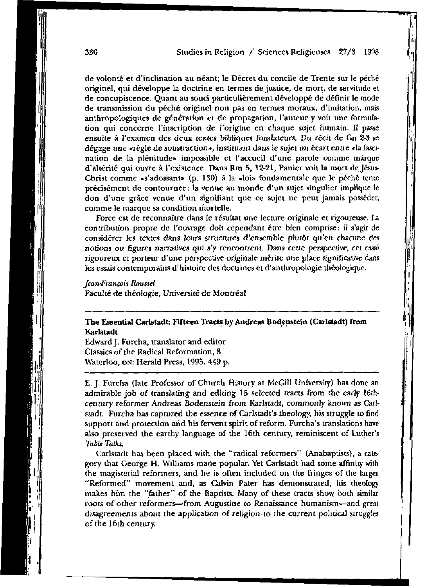de volonté et d'inclination au néant; le Décret du concile de Trente sur le péché originel, qui developpe la doctrine en termes de justice, de mort, de servitude et de concupiscence. Quant au souci particulierement developpe de definir le mode de transmission du peche originel non pas en termes moraux, d'imitation, mais anthropologiques de generation et de propagation, l'auteur y voit une formulation qui concerne l'inscription de l'origine en chaque sujet humain. II passe ensuite à l'examen des deux textes bibliques fondateurs. Du récit de Gn 2-3 se degage une «regle de soustraction», instituant dans le sujet un ecart entre «la fascination de la plénitude» impossible et l'accueil d'une parole comme marque d'alterite qui ouvre a 1'existence. Dans Rm 5, 12-21, Panier voit la mort de Jesus-Christ comme «s'adossant» (p. 130) a la «loi» fondamentale que le peche tente précisément de contourner: la venue au monde d'un sujet singulier implique le don d'une grace venue d'un signifiant que ce sujet ne peut jamais posseder, comme le marque sa condition mortelle.

Force est de reconnaître dans le résultat une lecture originale et rigoureuse. La conuribution propre de l'ouvrage doit cependant etre bien comprise: il s'agit de considerer les textes dans leurs structures d'ensemble plutot qu'en chacune des notions ou figures narratives qui s'y rencontrent. Dans cette perspective, cet essai rigoureux et porteur d'une perspective originale mérite une place significative dans les essais contemporains d'histoire des doctrines et d'anthropologic theologique.

*JeanrFranfois Roussel*  Faculté de théologie, Université de Montréal

## **The Essential Carlstadt: Fifteen Tracts by Andreas Bodenstein (Carlstadt) from Karlstadt**

Edward J. Furcha, translator and editor Classics of the Radical Reformation, 8 Waterloo, ON: Herald Press, 1995. 449 p.

E. J. Furcha (late Professor of Church History at McGill University) has done an admirable job of translating and editing 15 selected tracts from the early 16thcentury reformer Andreas Bodenstein from Karlstadt, commonly known as Carlstadt Furcha has captured the essence of Carlstadt's theology, his struggle to find support and protection and his fervent spirit of reform. Furcha's translations have also preserved the earthy language of the 16th century, reminiscent of Luther's *TabU Talks.* 

Carlstadt has been placed with the "radical reformers" (Anabaptists), a category that George H. Williams made popular. Yet Carlstadt had some affinity with the magisterial reformers, and he is often included on the fringes of the larger "Reformed" movement and, as Calvin Pater has demonstrated, his theology makes him the "father" of the Baptists. Many of these tracts show both similar roots of other reformers—from Augustine to Renaissance humanism—and great disagreements about the application of religion-to the current political struggles of the 16th century.